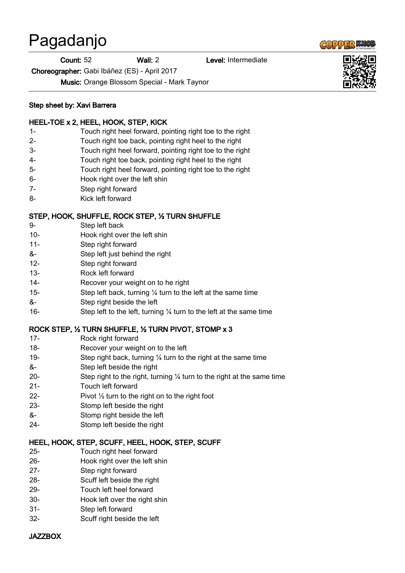# Pagadanjo

Count: 52 Wall: 2 Level: Intermediate

Choreographer: Gabi Ibáñez (ES) - April 2017

Music: Orange Blossom Special - Mark Taynor

#### Step sheet by: Xavi Barrera

#### HEEL-TOE x 2, HEEL, HOOK, STEP, KICK

- 1- Touch right heel forward, pointing right toe to the right
- 2- Touch right toe back, pointing right heel to the right
- 3- Touch right heel forward, pointing right toe to the right
- 4- Touch right toe back, pointing right heel to the right
- 5- Touch right heel forward, pointing right toe to the right
- 6- Hook right over the left shin
- 7- Step right forward
- 8- Kick left forward

## STEP, HOOK, SHUFFLE, ROCK STEP, ½ TURN SHUFFLE

- 9- Step left back
- 10- Hook right over the left shin
- 11- Step right forward
- &- Step left just behind the right
- 12- Step right forward
- 13- Rock left forward
- 14- Recover your weight on to he right
- 15- Step left back, turning ¼ turn to the left at the same time
- &- Step right beside the left
- 16- Step left to the left, turning ¼ turn to the left at the same time

## ROCK STEP, ½ TURN SHUFFLE, ½ TURN PIVOT, STOMP x 3

- 17- Rock right forward
- 18- Recover your weight on to the left
- 19- Step right back, turning ¼ turn to the right at the same time
- &- Step left beside the right
- 20- Step right to the right, turning ¼ turn to the right at the same time
- 21- Touch left forward
- 22- Pivot  $\frac{1}{2}$  turn to the right on to the right foot
- 23- Stomp left beside the right
- &- Stomp right beside the left
- 24- Stomp left beside the right

## HEEL, HOOK, STEP, SCUFF, HEEL, HOOK, STEP, SCUFF

- 25- Touch right heel forward
- 26- Hook right over the left shin
- 27- Step right forward
- 28- Scuff left beside the right
- 29- Touch left heel forward
- 30- Hook left over the right shin
- 31- Step left forward
- 32- Scuff right beside the left

#### **JAZZBOX**